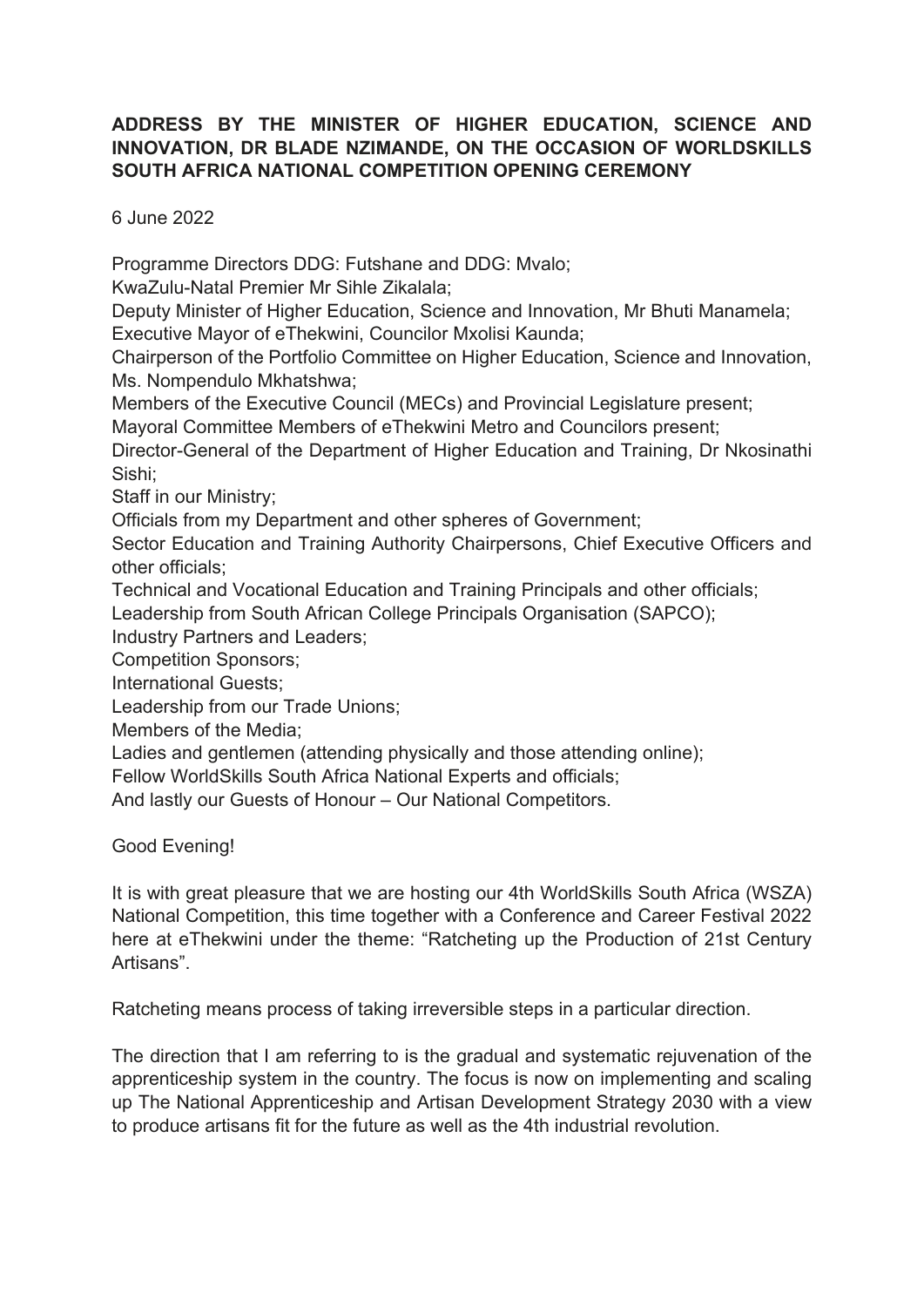## **ADDRESS BY THE MINISTER OF HIGHER EDUCATION, SCIENCE AND INNOVATION, DR BLADE NZIMANDE, ON THE OCCASION OF WORLDSKILLS SOUTH AFRICA NATIONAL COMPETITION OPENING CEREMONY**

6 June 2022

Programme Directors DDG: Futshane and DDG: Mvalo;

KwaZulu-Natal Premier Mr Sihle Zikalala;

Deputy Minister of Higher Education, Science and Innovation, Mr Bhuti Manamela; Executive Mayor of eThekwini, Councilor Mxolisi Kaunda;

Chairperson of the Portfolio Committee on Higher Education, Science and Innovation, Ms. Nompendulo Mkhatshwa;

Members of the Executive Council (MECs) and Provincial Legislature present;

Mayoral Committee Members of eThekwini Metro and Councilors present;

Director-General of the Department of Higher Education and Training, Dr Nkosinathi Sishi;

Staff in our Ministry;

Officials from my Department and other spheres of Government;

Sector Education and Training Authority Chairpersons, Chief Executive Officers and other officials;

Technical and Vocational Education and Training Principals and other officials;

Leadership from South African College Principals Organisation (SAPCO);

Industry Partners and Leaders;

Competition Sponsors;

International Guests;

Leadership from our Trade Unions;

Members of the Media;

Ladies and gentlemen (attending physically and those attending online);

Fellow WorldSkills South Africa National Experts and officials;

And lastly our Guests of Honour – Our National Competitors.

Good Evening!

It is with great pleasure that we are hosting our 4th WorldSkills South Africa (WSZA) National Competition, this time together with a Conference and Career Festival 2022 here at eThekwini under the theme: "Ratcheting up the Production of 21st Century Artisans".

Ratcheting means process of taking irreversible steps in a particular direction.

The direction that I am referring to is the gradual and systematic rejuvenation of the apprenticeship system in the country. The focus is now on implementing and scaling up The National Apprenticeship and Artisan Development Strategy 2030 with a view to produce artisans fit for the future as well as the 4th industrial revolution.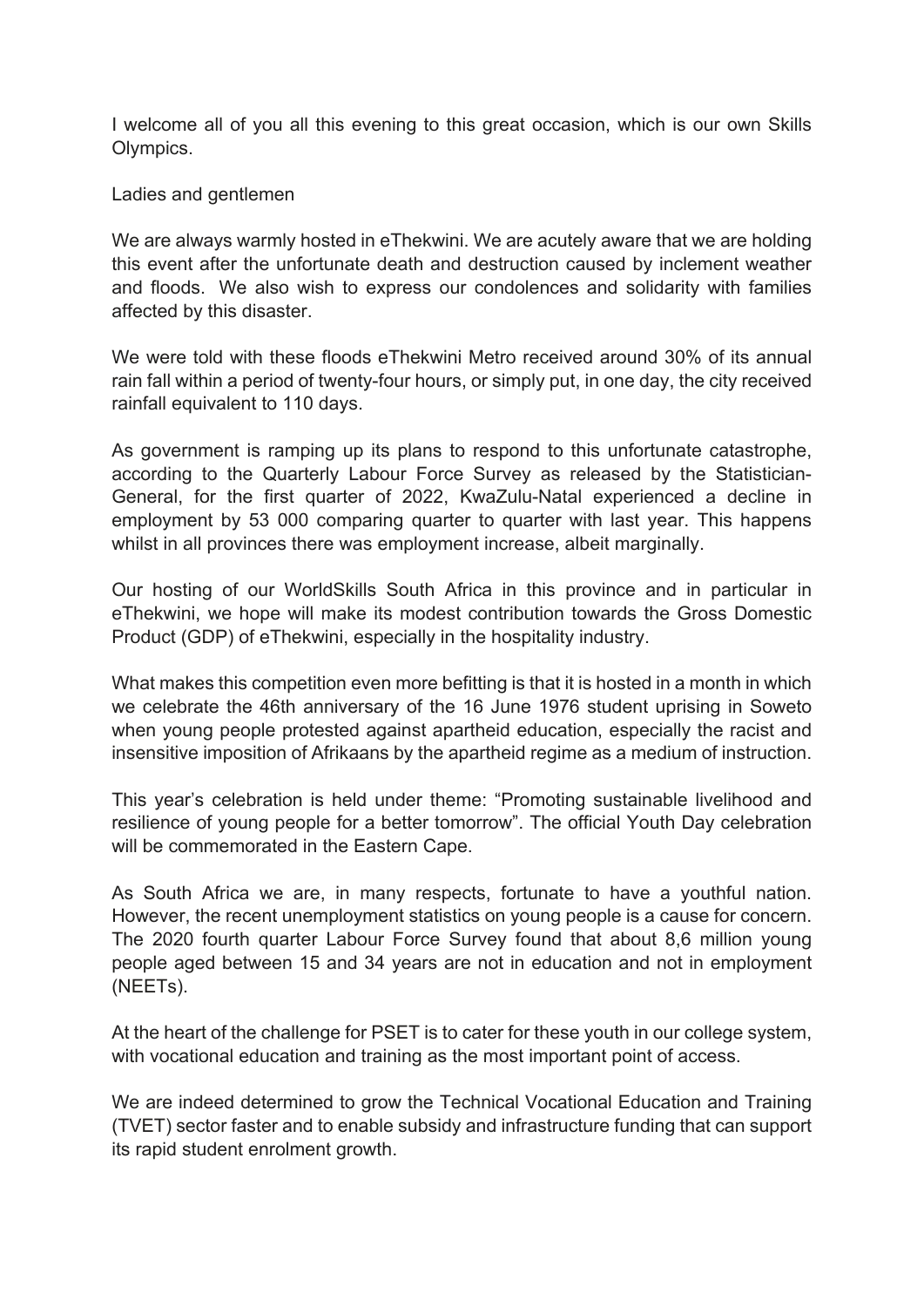I welcome all of you all this evening to this great occasion, which is our own Skills Olympics.

Ladies and gentlemen

We are always warmly hosted in eThekwini. We are acutely aware that we are holding this event after the unfortunate death and destruction caused by inclement weather and floods. We also wish to express our condolences and solidarity with families affected by this disaster.

We were told with these floods eThekwini Metro received around 30% of its annual rain fall within a period of twenty-four hours, or simply put, in one day, the city received rainfall equivalent to 110 days.

As government is ramping up its plans to respond to this unfortunate catastrophe, according to the Quarterly Labour Force Survey as released by the Statistician-General, for the first quarter of 2022, KwaZulu-Natal experienced a decline in employment by 53 000 comparing quarter to quarter with last year. This happens whilst in all provinces there was employment increase, albeit marginally.

Our hosting of our WorldSkills South Africa in this province and in particular in eThekwini, we hope will make its modest contribution towards the Gross Domestic Product (GDP) of eThekwini, especially in the hospitality industry.

What makes this competition even more befitting is that it is hosted in a month in which we celebrate the 46th anniversary of the 16 June 1976 student uprising in Soweto when young people protested against apartheid education, especially the racist and insensitive imposition of Afrikaans by the apartheid regime as a medium of instruction.

This year's celebration is held under theme: "Promoting sustainable livelihood and resilience of young people for a better tomorrow". The official Youth Day celebration will be commemorated in the Eastern Cape.

As South Africa we are, in many respects, fortunate to have a youthful nation. However, the recent unemployment statistics on young people is a cause for concern. The 2020 fourth quarter Labour Force Survey found that about 8,6 million young people aged between 15 and 34 years are not in education and not in employment (NEETs).

At the heart of the challenge for PSET is to cater for these youth in our college system, with vocational education and training as the most important point of access.

We are indeed determined to grow the Technical Vocational Education and Training (TVET) sector faster and to enable subsidy and infrastructure funding that can support its rapid student enrolment growth.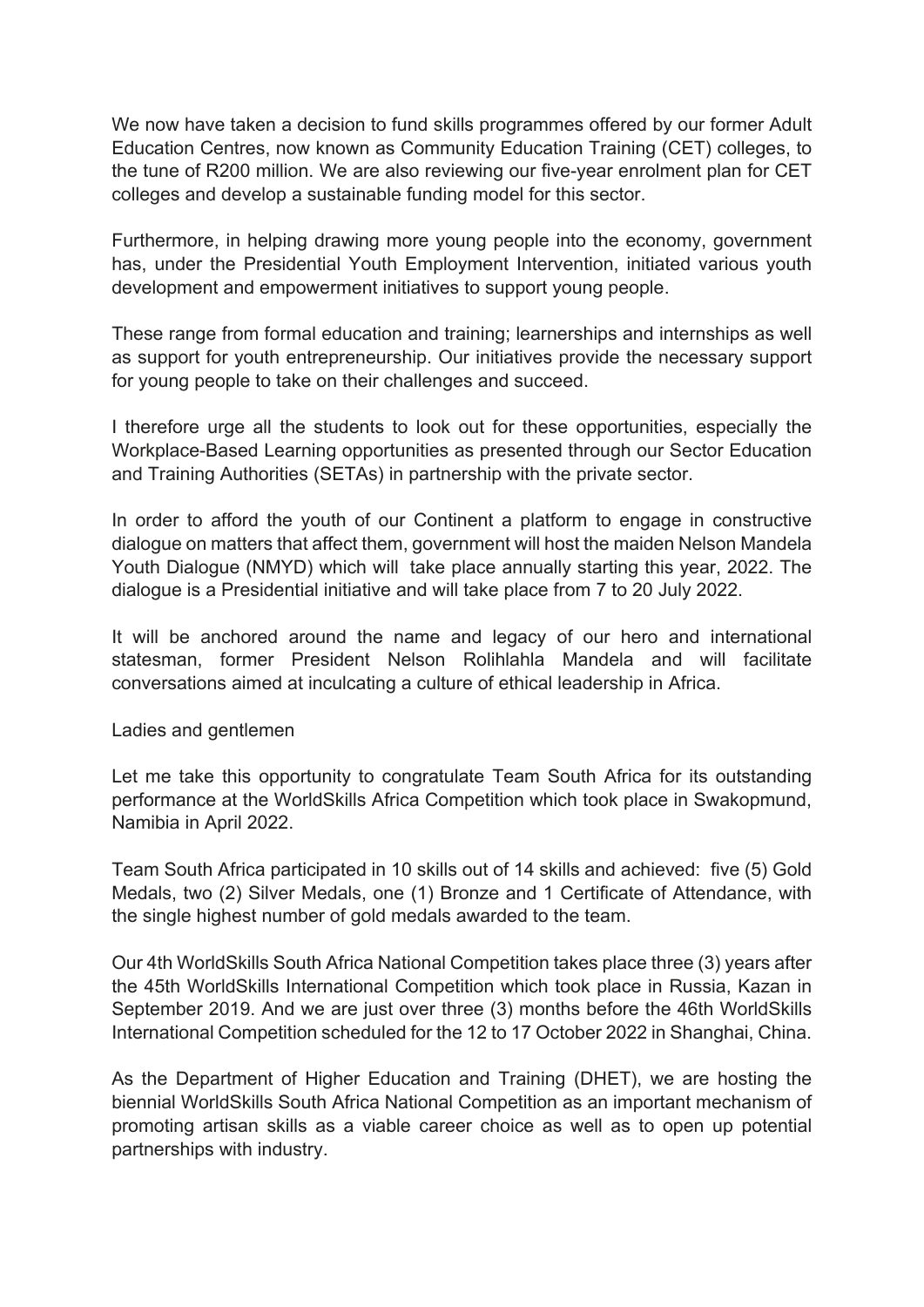We now have taken a decision to fund skills programmes offered by our former Adult Education Centres, now known as Community Education Training (CET) colleges, to the tune of R200 million. We are also reviewing our five-year enrolment plan for CET colleges and develop a sustainable funding model for this sector.

Furthermore, in helping drawing more young people into the economy, government has, under the Presidential Youth Employment Intervention, initiated various youth development and empowerment initiatives to support young people.

These range from formal education and training; learnerships and internships as well as support for youth entrepreneurship. Our initiatives provide the necessary support for young people to take on their challenges and succeed.

I therefore urge all the students to look out for these opportunities, especially the Workplace-Based Learning opportunities as presented through our Sector Education and Training Authorities (SETAs) in partnership with the private sector.

In order to afford the youth of our Continent a platform to engage in constructive dialogue on matters that affect them, government will host the maiden Nelson Mandela Youth Dialogue (NMYD) which will take place annually starting this year, 2022. The dialogue is a Presidential initiative and will take place from 7 to 20 July 2022.

It will be anchored around the name and legacy of our hero and international statesman, former President Nelson Rolihlahla Mandela and will facilitate conversations aimed at inculcating a culture of ethical leadership in Africa.

Ladies and gentlemen

Let me take this opportunity to congratulate Team South Africa for its outstanding performance at the WorldSkills Africa Competition which took place in Swakopmund, Namibia in April 2022.

Team South Africa participated in 10 skills out of 14 skills and achieved: five (5) Gold Medals, two (2) Silver Medals, one (1) Bronze and 1 Certificate of Attendance, with the single highest number of gold medals awarded to the team.

Our 4th WorldSkills South Africa National Competition takes place three (3) years after the 45th WorldSkills International Competition which took place in Russia, Kazan in September 2019. And we are just over three (3) months before the 46th WorldSkills International Competition scheduled for the 12 to 17 October 2022 in Shanghai, China.

As the Department of Higher Education and Training (DHET), we are hosting the biennial WorldSkills South Africa National Competition as an important mechanism of promoting artisan skills as a viable career choice as well as to open up potential partnerships with industry.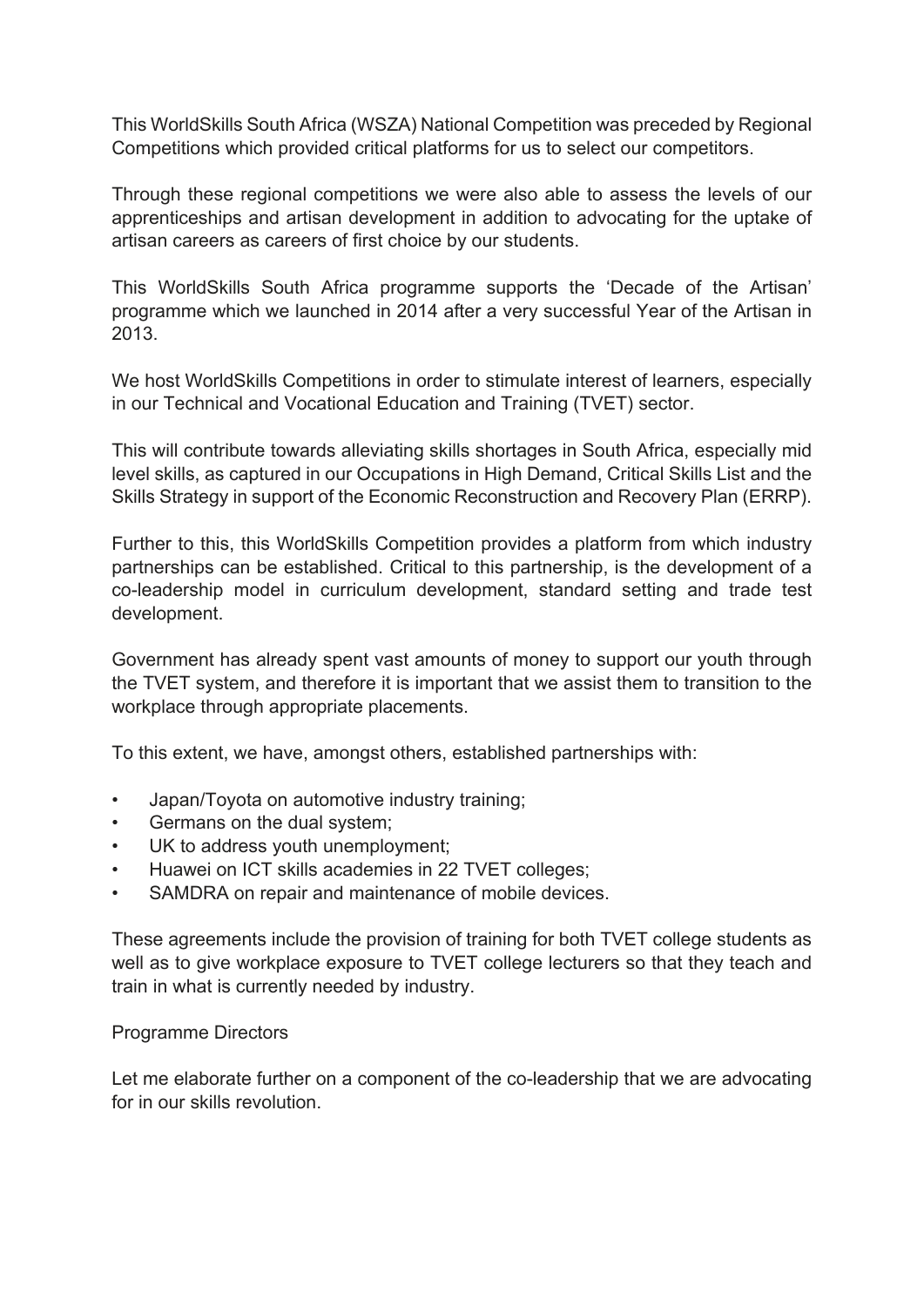This WorldSkills South Africa (WSZA) National Competition was preceded by Regional Competitions which provided critical platforms for us to select our competitors.

Through these regional competitions we were also able to assess the levels of our apprenticeships and artisan development in addition to advocating for the uptake of artisan careers as careers of first choice by our students.

This WorldSkills South Africa programme supports the 'Decade of the Artisan' programme which we launched in 2014 after a very successful Year of the Artisan in 2013.

We host WorldSkills Competitions in order to stimulate interest of learners, especially in our Technical and Vocational Education and Training (TVET) sector.

This will contribute towards alleviating skills shortages in South Africa, especially mid level skills, as captured in our Occupations in High Demand, Critical Skills List and the Skills Strategy in support of the Economic Reconstruction and Recovery Plan (ERRP).

Further to this, this WorldSkills Competition provides a platform from which industry partnerships can be established. Critical to this partnership, is the development of a co-leadership model in curriculum development, standard setting and trade test development.

Government has already spent vast amounts of money to support our youth through the TVET system, and therefore it is important that we assist them to transition to the workplace through appropriate placements.

To this extent, we have, amongst others, established partnerships with:

- Japan/Toyota on automotive industry training;
- Germans on the dual system;
- UK to address youth unemployment;
- Huawei on ICT skills academies in 22 TVET colleges;
- SAMDRA on repair and maintenance of mobile devices.

These agreements include the provision of training for both TVET college students as well as to give workplace exposure to TVET college lecturers so that they teach and train in what is currently needed by industry.

## Programme Directors

Let me elaborate further on a component of the co-leadership that we are advocating for in our skills revolution.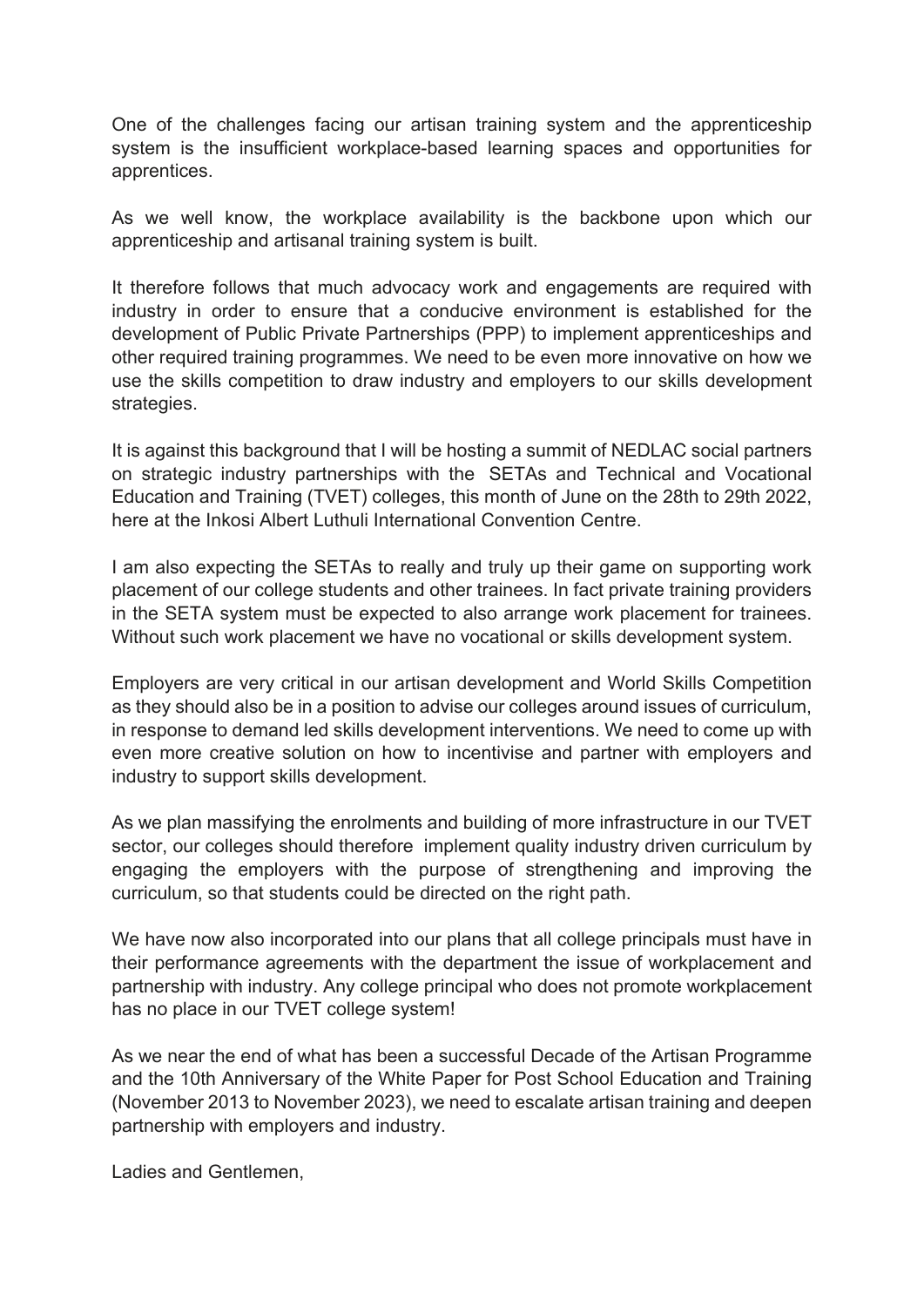One of the challenges facing our artisan training system and the apprenticeship system is the insufficient workplace-based learning spaces and opportunities for apprentices.

As we well know, the workplace availability is the backbone upon which our apprenticeship and artisanal training system is built.

It therefore follows that much advocacy work and engagements are required with industry in order to ensure that a conducive environment is established for the development of Public Private Partnerships (PPP) to implement apprenticeships and other required training programmes. We need to be even more innovative on how we use the skills competition to draw industry and employers to our skills development strategies.

It is against this background that I will be hosting a summit of NEDLAC social partners on strategic industry partnerships with the SETAs and Technical and Vocational Education and Training (TVET) colleges, this month of June on the 28th to 29th 2022, here at the Inkosi Albert Luthuli International Convention Centre.

I am also expecting the SETAs to really and truly up their game on supporting work placement of our college students and other trainees. In fact private training providers in the SETA system must be expected to also arrange work placement for trainees. Without such work placement we have no vocational or skills development system.

Employers are very critical in our artisan development and World Skills Competition as they should also be in a position to advise our colleges around issues of curriculum, in response to demand led skills development interventions. We need to come up with even more creative solution on how to incentivise and partner with employers and industry to support skills development.

As we plan massifying the enrolments and building of more infrastructure in our TVET sector, our colleges should therefore implement quality industry driven curriculum by engaging the employers with the purpose of strengthening and improving the curriculum, so that students could be directed on the right path.

We have now also incorporated into our plans that all college principals must have in their performance agreements with the department the issue of workplacement and partnership with industry. Any college principal who does not promote workplacement has no place in our TVET college system!

As we near the end of what has been a successful Decade of the Artisan Programme and the 10th Anniversary of the White Paper for Post School Education and Training (November 2013 to November 2023), we need to escalate artisan training and deepen partnership with employers and industry.

Ladies and Gentlemen,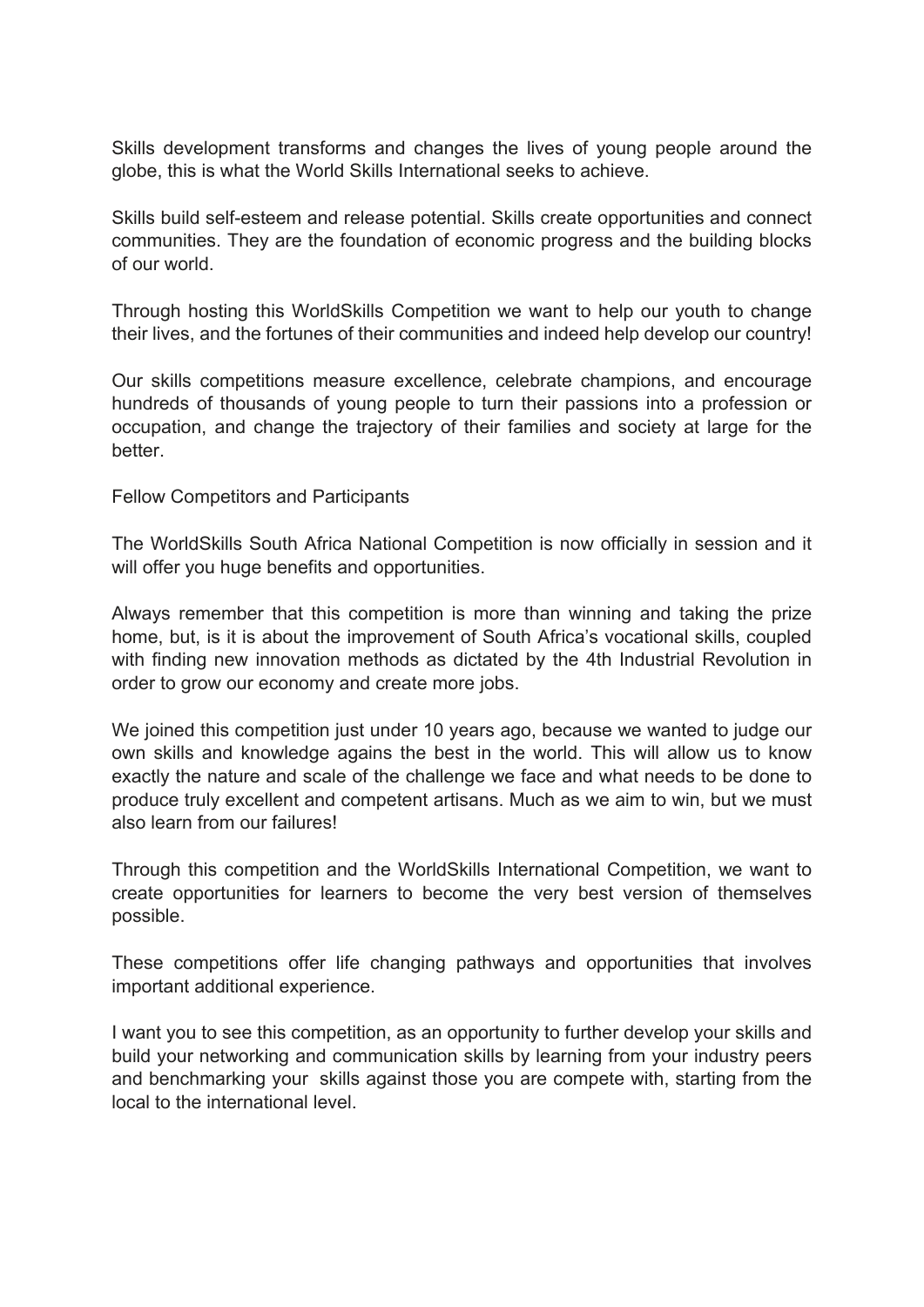Skills development transforms and changes the lives of young people around the globe, this is what the World Skills International seeks to achieve.

Skills build self-esteem and release potential. Skills create opportunities and connect communities. They are the foundation of economic progress and the building blocks of our world.

Through hosting this WorldSkills Competition we want to help our youth to change their lives, and the fortunes of their communities and indeed help develop our country!

Our skills competitions measure excellence, celebrate champions, and encourage hundreds of thousands of young people to turn their passions into a profession or occupation, and change the trajectory of their families and society at large for the better.

Fellow Competitors and Participants

The WorldSkills South Africa National Competition is now officially in session and it will offer you huge benefits and opportunities.

Always remember that this competition is more than winning and taking the prize home, but, is it is about the improvement of South Africa's vocational skills, coupled with finding new innovation methods as dictated by the 4th Industrial Revolution in order to grow our economy and create more jobs.

We joined this competition just under 10 years ago, because we wanted to judge our own skills and knowledge agains the best in the world. This will allow us to know exactly the nature and scale of the challenge we face and what needs to be done to produce truly excellent and competent artisans. Much as we aim to win, but we must also learn from our failures!

Through this competition and the WorldSkills International Competition, we want to create opportunities for learners to become the very best version of themselves possible.

These competitions offer life changing pathways and opportunities that involves important additional experience.

I want you to see this competition, as an opportunity to further develop your skills and build your networking and communication skills by learning from your industry peers and benchmarking your skills against those you are compete with, starting from the local to the international level.